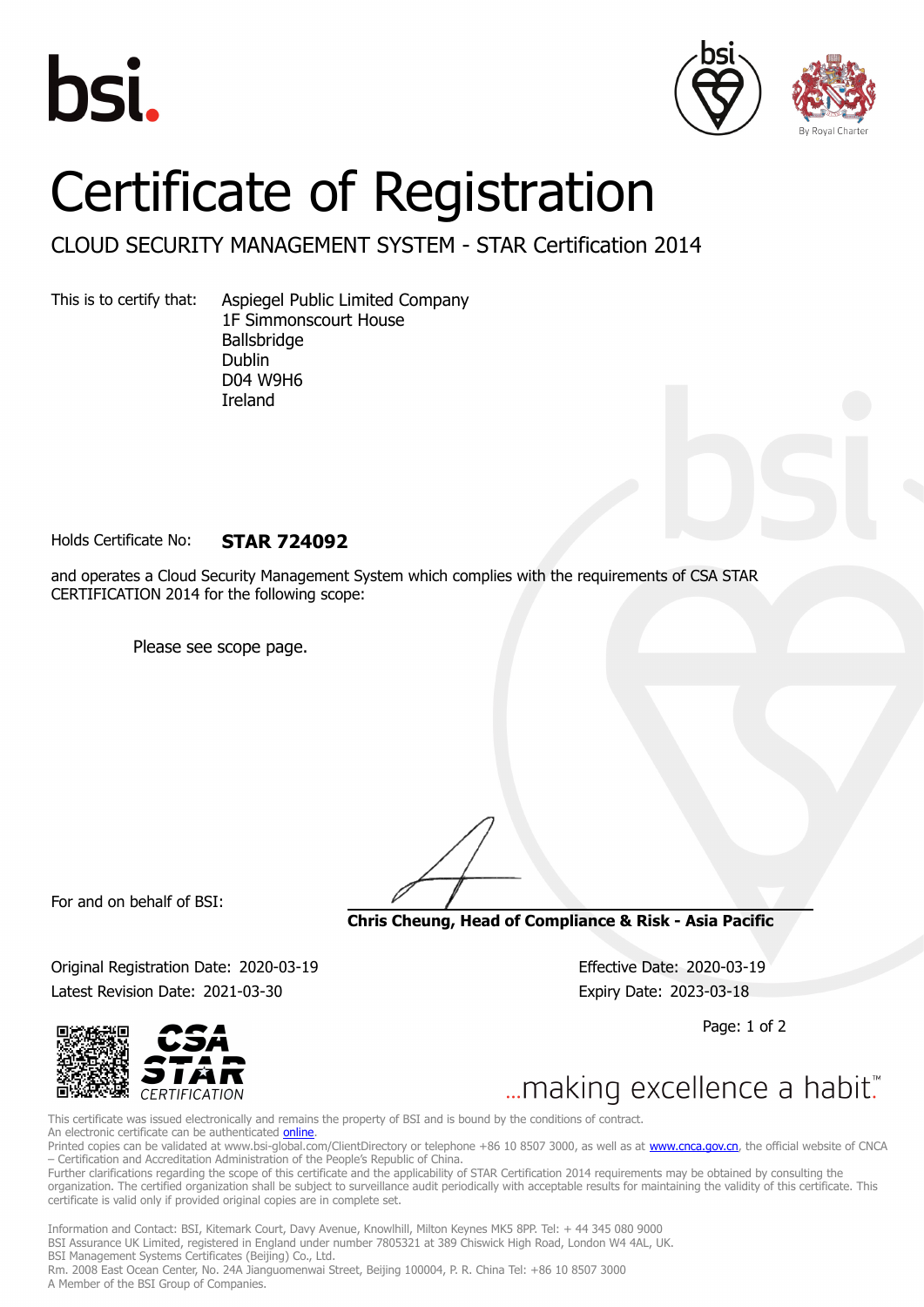





## Certificate of Registration

CLOUD SECURITY MANAGEMENT SYSTEM - STAR Certification 2014

This is to certify that: Aspiegel Public Limited Company 1F Simmonscourt House Ballsbridge Dublin D04 W9H6 Ireland

Holds Certificate No: **STAR 724092**

and operates a Cloud Security Management System which complies with the requirements of CSA STAR CERTIFICATION 2014 for the following scope:

Please see scope page.

For and on behalf of BSI:

**Chris Cheung, Head of Compliance & Risk - Asia Pacific**

Original Registration Date: 2020-03-19 Effective Date: 2020-03-19 Latest Revision Date: 2021-03-30 Expiry Date: 2023-03-18

Page: 1 of 2



... making excellence a habit."

This certificate was issued electronically and remains the property of BSI and is bound by the conditions of contract. An electronic certificate can be authenticated [online](https://pgplus.bsigroup.com/CertificateValidation/CertificateValidator.aspx?CertificateNumber=STAR+724092&ReIssueDate=30%2f03%2f2021&Template=cnen). Printed copies can be validated at www.bsi-global.com/ClientDirectory or telephone +86 10 8507 3000, as well as at [www.cnca.gov.cn,](www.cnca.gov.cn) the official website of CNCA – Certification and Accreditation Administration of the People's Republic of China.

Further clarifications regarding the scope of this certificate and the applicability of STAR Certification 2014 requirements may be obtained by consulting the organization. The certified organization shall be subject to surveillance audit periodically with acceptable results for maintaining the validity of this certificate. This certificate is valid only if provided original copies are in complete set.

Information and Contact: BSI, Kitemark Court, Davy Avenue, Knowlhill, Milton Keynes MK5 8PP. Tel: + 44 345 080 9000 BSI Assurance UK Limited, registered in England under number 7805321 at 389 Chiswick High Road, London W4 4AL, UK. BSI Management Systems Certificates (Beijing) Co., Ltd. Rm. 2008 East Ocean Center, No. 24A Jianguomenwai Street, Beijing 100004, P. R. China Tel: +86 10 8507 3000 A Member of the BSI Group of Companies.